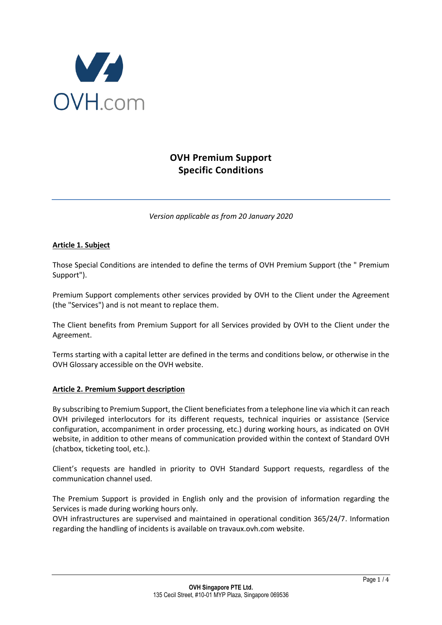

# **OVH Premium Support Specific Conditions**

*Version applicable as from 20 January 2020*

## **Article 1. Subject**

Those Special Conditions are intended to define the terms of OVH Premium Support (the " Premium Support").

Premium Support complements other services provided by OVH to the Client under the Agreement (the "Services") and is not meant to replace them.

The Client benefits from Premium Support for all Services provided by OVH to the Client under the Agreement.

Terms starting with a capital letter are defined in the terms and conditions below, or otherwise in the OVH Glossary accessible on the OVH website.

## **Article 2. Premium Support description**

By subscribing to Premium Support, the Client beneficiates from a telephone line via which it can reach OVH privileged interlocutors for its different requests, technical inquiries or assistance (Service configuration, accompaniment in order processing, etc.) during working hours, as indicated on OVH website, in addition to other means of communication provided within the context of Standard OVH (chatbox, ticketing tool, etc.).

Client's requests are handled in priority to OVH Standard Support requests, regardless of the communication channel used.

The Premium Support is provided in English only and the provision of information regarding the Services is made during working hours only.

OVH infrastructures are supervised and maintained in operational condition 365/24/7. Information regarding the handling of incidents is available on travaux.ovh.com website.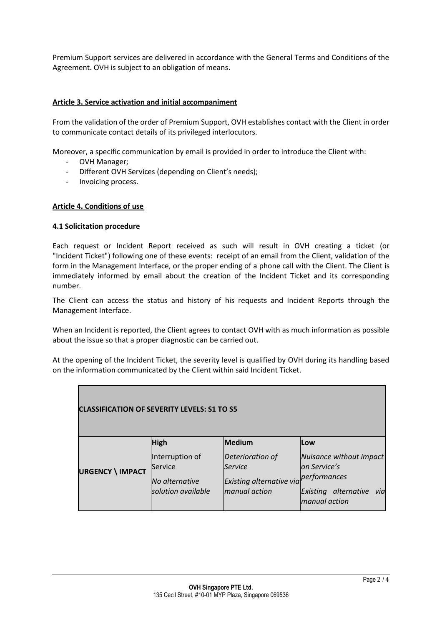Premium Support services are delivered in accordance with the General Terms and Conditions of the Agreement. OVH is subject to an obligation of means.

## **Article 3. Service activation and initial accompaniment**

From the validation of the order of Premium Support, OVH establishes contact with the Client in order to communicate contact details of its privileged interlocutors.

Moreover, a specific communication by email is provided in order to introduce the Client with:

- OVH Manager;
- Different OVH Services (depending on Client's needs);
- Invoicing process.

#### **Article 4. Conditions of use**

#### **4.1 Solicitation procedure**

Each request or Incident Report received as such will result in OVH creating a ticket (or "Incident Ticket") following one of these events: receipt of an email from the Client, validation of the form in the Management Interface, or the proper ending of a phone call with the Client. The Client is immediately informed by email about the creation of the Incident Ticket and its corresponding number.

The Client can access the status and history of his requests and Incident Reports through the Management Interface.

When an Incident is reported, the Client agrees to contact OVH with as much information as possible about the issue so that a proper diagnostic can be carried out.

At the opening of the Incident Ticket, the severity level is qualified by OVH during its handling based on the information communicated by the Client within said Incident Ticket.

| <b>CLASSIFICATION OF SEVERITY LEVELS: S1 TO S5</b> |                                                                    |                                                                                 |                                                                                                             |  |  |
|----------------------------------------------------|--------------------------------------------------------------------|---------------------------------------------------------------------------------|-------------------------------------------------------------------------------------------------------------|--|--|
|                                                    | <b>High</b>                                                        | Medium                                                                          | <b>Low</b>                                                                                                  |  |  |
| <b>URGENCY \ IMPACT</b>                            | Interruption of<br>Service<br>No alternative<br>solution available | Deterioration of<br><b>Service</b><br>Existing alternative via<br>manual action | Nuisance without impact<br>lon Service's<br>performances<br>alternative<br>Existing<br>via<br>manual action |  |  |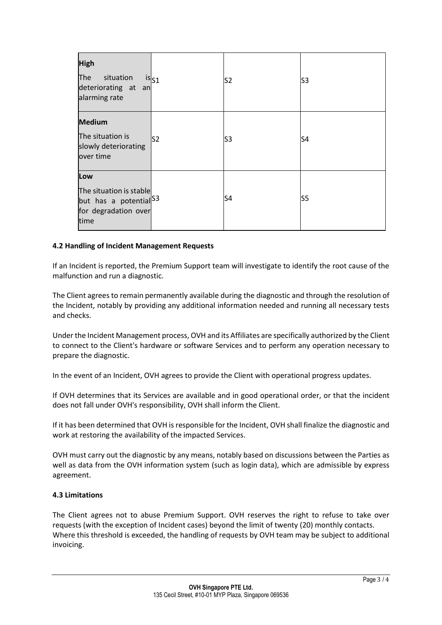| <b>High</b><br>The<br>situation<br>deteriorating at an<br>alarming rate                             | is <sub>S1</sub> | S <sub>2</sub> | S <sub>3</sub> |
|-----------------------------------------------------------------------------------------------------|------------------|----------------|----------------|
| <b>Medium</b><br>The situation is<br>slowly deteriorating<br>over time                              | lS2              | S3             | S4             |
| Low<br>The situation is stable<br>but has a potential <sup>S3</sup><br>for degradation over<br>time |                  | S4             | S5             |

## **4.2 Handling of Incident Management Requests**

If an Incident is reported, the Premium Support team will investigate to identify the root cause of the malfunction and run a diagnostic.

The Client agrees to remain permanently available during the diagnostic and through the resolution of the Incident, notably by providing any additional information needed and running all necessary tests and checks.

Under the Incident Management process, OVH and its Affiliates are specifically authorized by the Client to connect to the Client's hardware or software Services and to perform any operation necessary to prepare the diagnostic.

In the event of an Incident, OVH agrees to provide the Client with operational progress updates.

If OVH determines that its Services are available and in good operational order, or that the incident does not fall under OVH's responsibility, OVH shall inform the Client.

If it has been determined that OVH is responsible for the Incident, OVH shall finalize the diagnostic and work at restoring the availability of the impacted Services.

OVH must carry out the diagnostic by any means, notably based on discussions between the Parties as well as data from the OVH information system (such as login data), which are admissible by express agreement.

#### **4.3 Limitations**

The Client agrees not to abuse Premium Support. OVH reserves the right to refuse to take over requests (with the exception of Incident cases) beyond the limit of twenty (20) monthly contacts. Where this threshold is exceeded, the handling of requests by OVH team may be subject to additional invoicing.